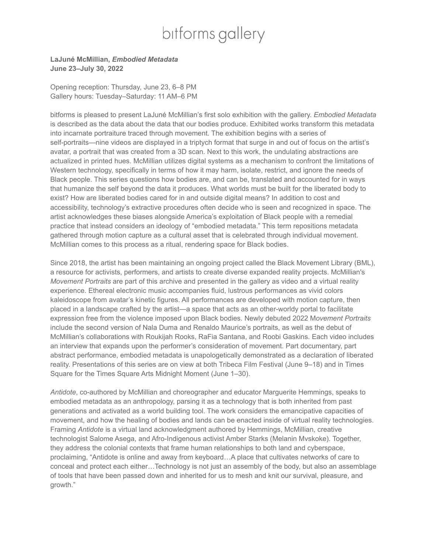## bitforms gallery

## **LaJuné McMillian,** *Embodied Metadata* **June 23–July 30, 2022**

Opening reception: Thursday, June 23, 6–8 PM Gallery hours: Tuesday–Saturday: 11 AM–6 PM

bitforms is pleased to present LaJuné McMillian's first solo exhibition with the gallery. *Embodied Metadata* is described as the data about the data that our bodies produce. Exhibited works transform this metadata into incarnate portraiture traced through movement. The exhibition begins with a series of self-portraits—nine videos are displayed in a triptych format that surge in and out of focus on the artist's avatar, a portrait that was created from a 3D scan. Next to this work, the undulating abstractions are actualized in printed hues. McMillian utilizes digital systems as a mechanism to confront the limitations of Western technology, specifically in terms of how it may harm, isolate, restrict, and ignore the needs of Black people. This series questions how bodies are, and can be, translated and accounted for in ways that humanize the self beyond the data it produces. What worlds must be built for the liberated body to exist? How are liberated bodies cared for in and outside digital means? In addition to cost and accessibility, technology's extractive procedures often decide who is seen and recognized in space. The artist acknowledges these biases alongside America's exploitation of Black people with a remedial practice that instead considers an ideology of "embodied metadata." This term repositions metadata gathered through motion capture as a cultural asset that is celebrated through individual movement. McMillian comes to this process as a ritual, rendering space for Black bodies.

Since 2018, the artist has been maintaining an ongoing project called the Black Movement Library (BML), a resource for activists, performers, and artists to create diverse expanded reality projects. McMillian's *Movement Portraits* are part of this archive and presented in the gallery as video and a virtual reality experience. Ethereal electronic music accompanies fluid, lustrous performances as vivid colors kaleidoscope from avatar's kinetic figures. All performances are developed with motion capture, then placed in a landscape crafted by the artist—a space that acts as an other-worldy portal to facilitate expression free from the violence imposed upon Black bodies. Newly debuted 2022 M*ovement Portraits* include the second version of Nala Duma and Renaldo Maurice's portraits, as well as the debut of McMillian's collaborations with Roukijah Rooks, RaFia Santana, and Roobi Gaskins. Each video includes an interview that expands upon the performer's consideration of movement. Part documentary, part abstract performance, embodied metadata is unapologetically demonstrated as a declaration of liberated reality. Presentations of this series are on view at both Tribeca Film Festival (June 9–18) and in Times Square for the Times Square Arts Midnight Moment (June 1–30).

*Antidote*, co-authored by McMillian and choreographer and educator Marguerite Hemmings, speaks to embodied metadata as an anthropology, parsing it as a technology that is both inherited from past generations and activated as a world building tool. The work considers the emancipative capacities of movement, and how the healing of bodies and lands can be enacted inside of virtual reality technologies. Framing *Antidote* is a virtual land acknowledgment authored by Hemmings, McMillian, creative technologist Salome Asega, and Afro-Indigenous activist Amber Starks (Melanin Mvskoke). Together, they address the colonial contexts that frame human relationships to both land and cyberspace, proclaiming, "Antidote is online and away from keyboard…A place that cultivates networks of care to conceal and protect each either…Technology is not just an assembly of the body, but also an assemblage of tools that have been passed down and inherited for us to mesh and knit our survival, pleasure, and growth."